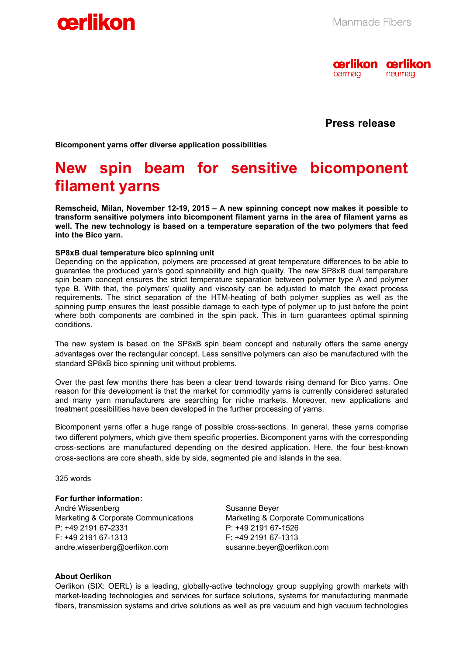



 **Press release** 

**Bicomponent yarns offer diverse application possibilities**

# **New spin beam for sensitive bicomponent filament yarns**

**Remscheid, Milan, November 12-19, 2015 – A new spinning concept now makes it possible to transform sensitive polymers into bicomponent filament yarns in the area of filament yarns as well. The new technology is based on a temperature separation of the two polymers that feed into the Bico yarn.** 

#### **SP8xB dual temperature bico spinning unit**

Depending on the application, polymers are processed at great temperature differences to be able to guarantee the produced yarn's good spinnability and high quality. The new SP8xB dual temperature spin beam concept ensures the strict temperature separation between polymer type A and polymer type B. With that, the polymers' quality and viscosity can be adjusted to match the exact process requirements. The strict separation of the HTM-heating of both polymer supplies as well as the spinning pump ensures the least possible damage to each type of polymer up to just before the point where both components are combined in the spin pack. This in turn guarantees optimal spinning conditions.

The new system is based on the SP8xB spin beam concept and naturally offers the same energy advantages over the rectangular concept. Less sensitive polymers can also be manufactured with the standard SP8xB bico spinning unit without problems.

Over the past few months there has been a clear trend towards rising demand for Bico yarns. One reason for this development is that the market for commodity yarns is currently considered saturated and many yarn manufacturers are searching for niche markets. Moreover, new applications and treatment possibilities have been developed in the further processing of yarns.

Bicomponent yarns offer a huge range of possible cross-sections. In general, these yarns comprise two different polymers, which give them specific properties. Bicomponent yarns with the corresponding cross-sections are manufactured depending on the desired application. Here, the four best-known cross-sections are core sheath, side by side, segmented pie and islands in the sea.

325 words

### **For further information:**

André Wissenberg Marketing & Corporate Communications P: +49 2191 67-2331 F: +49 2191 67-1313 andre.wissenberg@oerlikon.com

Susanne Beyer Marketing & Corporate Communications P: +49 2191 67-1526 F: +49 2191 67-1313 susanne.beyer@oerlikon.com

#### **About Oerlikon**

Oerlikon (SIX: OERL) is a leading, globally-active technology group supplying growth markets with market-leading technologies and services for surface solutions, systems for manufacturing manmade fibers, transmission systems and drive solutions as well as pre vacuum and high vacuum technologies